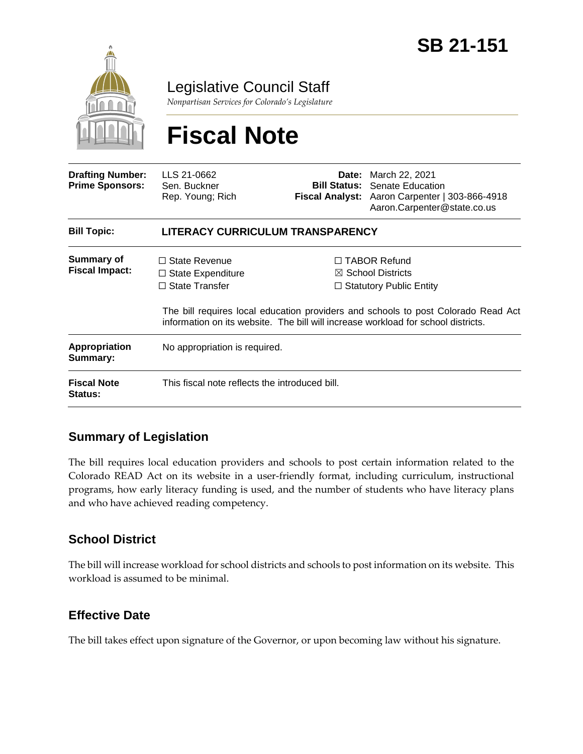

Legislative Council Staff

*Nonpartisan Services for Colorado's Legislature*

# **Fiscal Note**

| <b>Drafting Number:</b><br><b>Prime Sponsors:</b> | LLS 21-0662<br>Sen. Buckner<br>Rep. Young; Rich                           |  | <b>Date:</b> March 22, 2021<br><b>Bill Status:</b> Senate Education<br>Fiscal Analyst: Aaron Carpenter   303-866-4918<br>Aaron.Carpenter@state.co.us                                                                                                            |  |
|---------------------------------------------------|---------------------------------------------------------------------------|--|-----------------------------------------------------------------------------------------------------------------------------------------------------------------------------------------------------------------------------------------------------------------|--|
| <b>Bill Topic:</b>                                | LITERACY CURRICULUM TRANSPARENCY                                          |  |                                                                                                                                                                                                                                                                 |  |
| Summary of<br><b>Fiscal Impact:</b>               | $\Box$ State Revenue<br>$\Box$ State Expenditure<br>$\Box$ State Transfer |  | $\Box$ TABOR Refund<br>$\boxtimes$ School Districts<br>$\Box$ Statutory Public Entity<br>The bill requires local education providers and schools to post Colorado Read Act<br>information on its website. The bill will increase workload for school districts. |  |
| Appropriation<br>Summary:                         | No appropriation is required.                                             |  |                                                                                                                                                                                                                                                                 |  |
| <b>Fiscal Note</b><br><b>Status:</b>              | This fiscal note reflects the introduced bill.                            |  |                                                                                                                                                                                                                                                                 |  |

## **Summary of Legislation**

The bill requires local education providers and schools to post certain information related to the Colorado READ Act on its website in a user-friendly format, including curriculum, instructional programs, how early literacy funding is used, and the number of students who have literacy plans and who have achieved reading competency.

## **School District**

The bill will increase workload for school districts and schools to post information on its website. This workload is assumed to be minimal.

## **Effective Date**

The bill takes effect upon signature of the Governor, or upon becoming law without his signature.